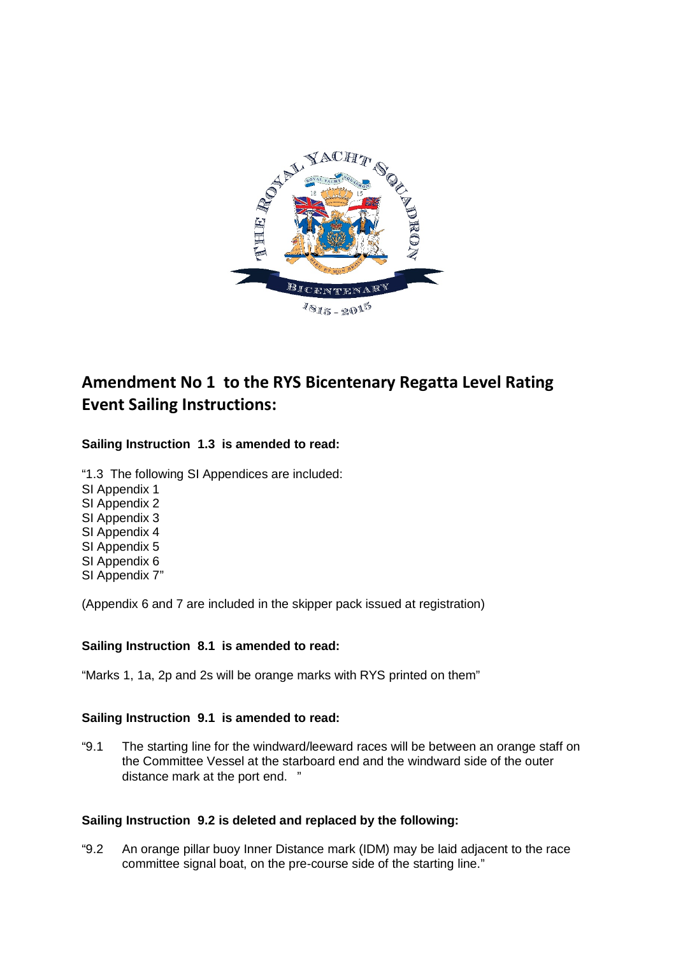

# **Amendment No 1 to the RYS Bicentenary Regatta Level Rating Event Sailing Instructions:**

## **Sailing Instruction 1.3 is amended to read:**

"1.3 The following SI Appendices are included: SI Appendix 1 SI Appendix 2 SI Appendix 3 SI Appendix 4 SI Appendix 5 SI Appendix 6 SI Appendix 7"

(Appendix 6 and 7 are included in the skipper pack issued at registration)

#### **Sailing Instruction 8.1 is amended to read:**

"Marks 1, 1a, 2p and 2s will be orange marks with RYS printed on them"

#### **Sailing Instruction 9.1 is amended to read:**

"9.1 The starting line for the windward/leeward races will be between an orange staff on the Committee Vessel at the starboard end and the windward side of the outer distance mark at the port end. "

#### **Sailing Instruction 9.2 is deleted and replaced by the following:**

"9.2 An orange pillar buoy Inner Distance mark (IDM) may be laid adjacent to the race committee signal boat, on the pre-course side of the starting line."